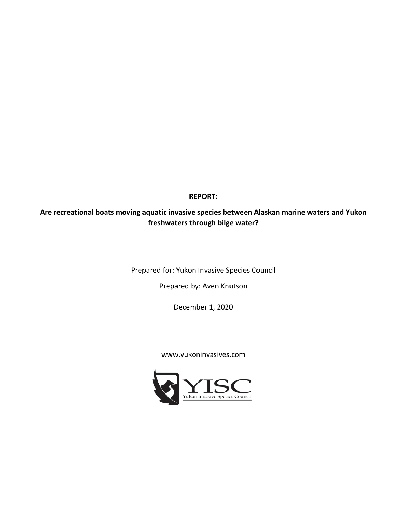**REPORT:**

# **Are recreational boats moving aquatic invasive species between Alaskan marine waters and Yukon freshwaters through bilge water?**

Prepared for: Yukon Invasive Species Council

Prepared by: Aven Knutson

December 1, 2020

#### www.yukoninvasives.com

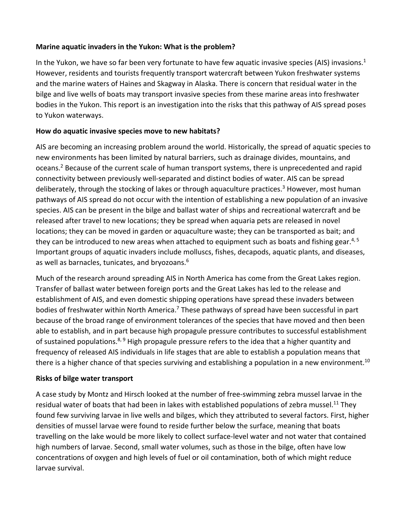#### **Marine aquatic invaders in the Yukon: What is the problem?**

In the Yukon, we have so far been very fortunate to have few aquatic invasive species (AIS) invasions.<sup>1</sup> However, residents and tourists frequently transport watercraft between Yukon freshwater systems and the marine waters of Haines and Skagway in Alaska. There is concern that residual water in the bilge and live wells of boats may transport invasive species from these marine areas into freshwater bodies in the Yukon. This report is an investigation into the risks that this pathway of AIS spread poses to Yukon waterways.

## **How do aquatic invasive species move to new habitats?**

AIS are becoming an increasing problem around the world. Historically, the spread of aquatic species to new environments has been limited by natural barriers, such as drainage divides, mountains, and oceans.2 Because of the current scale of human transport systems, there is unprecedented and rapid connectivity between previously well-separated and distinct bodies of water. AIS can be spread deliberately, through the stocking of lakes or through aquaculture practices.<sup>3</sup> However, most human pathways of AIS spread do not occur with the intention of establishing a new population of an invasive species. AIS can be present in the bilge and ballast water of ships and recreational watercraft and be released after travel to new locations; they be spread when aquaria pets are released in novel locations; they can be moved in garden or aquaculture waste; they can be transported as bait; and they can be introduced to new areas when attached to equipment such as boats and fishing gear.<sup>4, 5</sup> Important groups of aquatic invaders include molluscs, fishes, decapods, aquatic plants, and diseases, as well as barnacles, tunicates, and bryozoans. 6

Much of the research around spreading AIS in North America has come from the Great Lakes region. Transfer of ballast water between foreign ports and the Great Lakes has led to the release and establishment of AIS, and even domestic shipping operations have spread these invaders between bodies of freshwater within North America.<sup>7</sup> These pathways of spread have been successful in part because of the broad range of environment tolerances of the species that have moved and then been able to establish, and in part because high propagule pressure contributes to successful establishment of sustained populations.<sup>8, 9</sup> High propagule pressure refers to the idea that a higher quantity and frequency of released AIS individuals in life stages that are able to establish a population means that there is a higher chance of that species surviving and establishing a population in a new environment.<sup>10</sup>

## **Risks of bilge water transport**

A case study by Montz and Hirsch looked at the number of free-swimming zebra mussel larvae in the residual water of boats that had been in lakes with established populations of zebra mussel.<sup>11</sup> They found few surviving larvae in live wells and bilges, which they attributed to several factors. First, higher densities of mussel larvae were found to reside further below the surface, meaning that boats travelling on the lake would be more likely to collect surface-level water and not water that contained high numbers of larvae. Second, small water volumes, such as those in the bilge, often have low concentrations of oxygen and high levels of fuel or oil contamination, both of which might reduce larvae survival.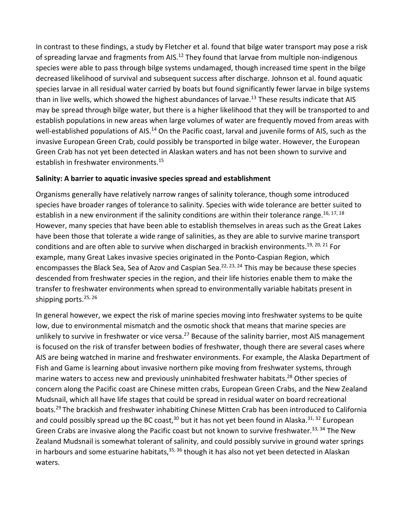In contrast to these findings, a study by Fletcher et al. found that bilge water transport may pose a risk of spreading larvae and fragments from AIS.<sup>12</sup> They found that larvae from multiple non-indigenous species were able to pass through bilge systems undamaged, though increased time spent in the bilge decreased likelihood of survival and subsequent success after discharge. Johnson et al. found aquatic species larvae in all residual water carried by boats but found significantly fewer larvae in bilge systems than in live wells, which showed the highest abundances of larvae.<sup>13</sup> These results indicate that AIS may be spread through bilge water, but there is a higher likelihood that they will be transported to and establish populations in new areas when large volumes of water are frequently moved from areas with well-established populations of AIS.<sup>14</sup> On the Pacific coast, larval and juvenile forms of AIS, such as the invasive European Green Crab, could possibly be transported in bilge water. However, the European Green Crab has not yet been detected in Alaskan waters and has not been shown to survive and establish in freshwater environments. 15

#### **Salinity: A barrier to aquatic invasive species spread and establishment**

Organisms generally have relatively narrow ranges of salinity tolerance, though some introduced species have broader ranges of tolerance to salinity. Species with wide tolerance are better suited to establish in a new environment if the salinity conditions are within their tolerance range.<sup>16, 17, 18</sup> However, many species that have been able to establish themselves in areas such as the Great Lakes have been those that tolerate a wide range of salinities, as they are able to survive marine transport conditions and are often able to survive when discharged in brackish environments.<sup>19, 20, 21</sup> For example, many Great Lakes invasive species originated in the Ponto-Caspian Region, which encompasses the Black Sea, Sea of Azov and Caspian Sea.<sup>22, 23, 24</sup> This may be because these species descended from freshwater species in the region, and their life histories enable them to make the transfer to freshwater environments when spread to environmentally variable habitats present in shipping ports.<sup>25, 26</sup>

In general however, we expect the risk of marine species moving into freshwater systems to be quite low, due to environmental mismatch and the osmotic shock that means that marine species are unlikely to survive in freshwater or vice versa.<sup>27</sup> Because of the salinity barrier, most AIS management is focused on the risk of transfer between bodies of freshwater, though there are several cases where AIS are being watched in marine and freshwater environments. For example, the Alaska Department of Fish and Game is learning about invasive northern pike moving from freshwater systems, through marine waters to access new and previously uninhabited freshwater habitats. <sup>28</sup> Other species of concern along the Pacific coast are Chinese mitten crabs, European Green Crabs, and the New Zealand Mudsnail, which all have life stages that could be spread in residual water on board recreational boats. <sup>29</sup> The brackish and freshwater inhabiting Chinese Mitten Crab has been introduced to California and could possibly spread up the BC coast,<sup>30</sup> but it has not yet been found in Alaska.<sup>31, 32</sup> European Green Crabs are invasive along the Pacific coast but not known to survive freshwater.<sup>33, 34</sup> The New Zealand Mudsnail is somewhat tolerant of salinity, and could possibly survive in ground water springs in harbours and some estuarine habitats,<sup>35, 36</sup> though it has also not yet been detected in Alaskan waters.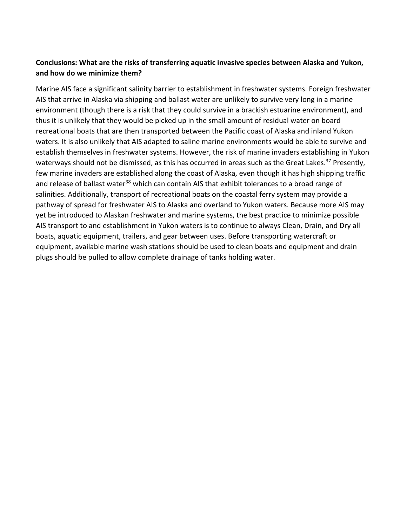# **Conclusions: What are the risks of transferring aquatic invasive species between Alaska and Yukon, and how do we minimize them?**

Marine AIS face a significant salinity barrier to establishment in freshwater systems. Foreign freshwater AIS that arrive in Alaska via shipping and ballast water are unlikely to survive very long in a marine environment (though there is a risk that they could survive in a brackish estuarine environment), and thus it is unlikely that they would be picked up in the small amount of residual water on board recreational boats that are then transported between the Pacific coast of Alaska and inland Yukon waters. It is also unlikely that AIS adapted to saline marine environments would be able to survive and establish themselves in freshwater systems. However, the risk of marine invaders establishing in Yukon waterways should not be dismissed, as this has occurred in areas such as the Great Lakes.<sup>37</sup> Presently, few marine invaders are established along the coast of Alaska, even though it has high shipping traffic and release of ballast water<sup>38</sup> which can contain AIS that exhibit tolerances to a broad range of salinities. Additionally, transport of recreational boats on the coastal ferry system may provide a pathway of spread for freshwater AIS to Alaska and overland to Yukon waters. Because more AIS may yet be introduced to Alaskan freshwater and marine systems, the best practice to minimize possible AIS transport to and establishment in Yukon waters is to continue to always Clean, Drain, and Dry all boats, aquatic equipment, trailers, and gear between uses. Before transporting watercraft or equipment, available marine wash stations should be used to clean boats and equipment and drain plugs should be pulled to allow complete drainage of tanks holding water.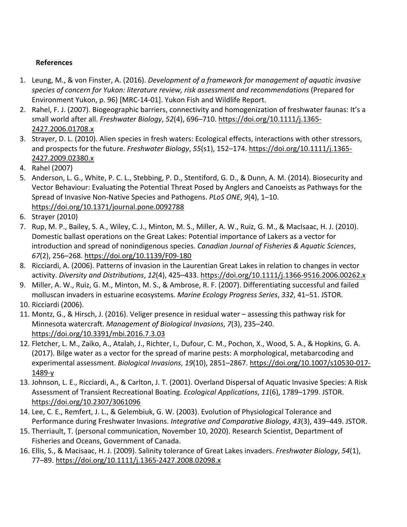# **References**

- 1. Leung, M., & von Finster, A. (2016). *Development of a framework for management of aquatic invasive species of concern for Yukon: literature review, risk assessment and recommendations* (Prepared for Environment Yukon, p. 96) [MRC-14-01]. Yukon Fish and Wildlife Report.
- 2. Rahel, F. J. (2007). Biogeographic barriers, connectivity and homogenization of freshwater faunas: It's a small world after all. *Freshwater Biology*, *52*(4), 696–710. https://doi.org/10.1111/j.1365- 2427.2006.01708.x
- 3. Strayer, D. L. (2010). Alien species in fresh waters: Ecological effects, interactions with other stressors, and prospects for the future. *Freshwater Biology*, *55*(s1), 152–174. https://doi.org/10.1111/j.1365- 2427.2009.02380.x
- 4. Rahel (2007)
- 5. Anderson, L. G., White, P. C. L., Stebbing, P. D., Stentiford, G. D., & Dunn, A. M. (2014). Biosecurity and Vector Behaviour: Evaluating the Potential Threat Posed by Anglers and Canoeists as Pathways for the Spread of Invasive Non-Native Species and Pathogens. *PLoS ONE*, *9*(4), 1–10. https://doi.org/10.1371/journal.pone.0092788
- 6. Strayer (2010)
- 7. Rup, M. P., Bailey, S. A., Wiley, C. J., Minton, M. S., Miller, A. W., Ruiz, G. M., & MacIsaac, H. J. (2010). Domestic ballast operations on the Great Lakes: Potential importance of Lakers as a vector for introduction and spread of nonindigenous species. *Canadian Journal of Fisheries & Aquatic Sciences*, *67*(2), 256–268. https://doi.org/10.1139/F09-180
- 8. Ricciardi, A. (2006). Patterns of invasion in the Laurentian Great Lakes in relation to changes in vector activity. *Diversity and Distributions*, *12*(4), 425–433. https://doi.org/10.1111/j.1366-9516.2006.00262.x
- 9. Miller, A. W., Ruiz, G. M., Minton, M. S., & Ambrose, R. F. (2007). Differentiating successful and failed molluscan invaders in estuarine ecosystems. *Marine Ecology Progress Series*, *332*, 41–51. JSTOR.
- 10. Ricciardi (2006).
- 11. Montz, G., & Hirsch, J. (2016). Veliger presence in residual water assessing this pathway risk for Minnesota watercraft. *Management of Biological Invasions*, *7*(3), 235–240. https://doi.org/10.3391/mbi.2016.7.3.03
- 12. Fletcher, L. M., Zaiko, A., Atalah, J., Richter, I., Dufour, C. M., Pochon, X., Wood, S. A., & Hopkins, G. A. (2017). Bilge water as a vector for the spread of marine pests: A morphological, metabarcoding and experimental assessment. *Biological Invasions*, *19*(10), 2851–2867. https://doi.org/10.1007/s10530-017- 1489-y
- 13. Johnson, L. E., Ricciardi, A., & Carlton, J. T. (2001). Overland Dispersal of Aquatic Invasive Species: A Risk Assessment of Transient Recreational Boating. *Ecological Applications*, *11*(6), 1789–1799. JSTOR. https://doi.org/10.2307/3061096
- 14. Lee, C. E., Remfert, J. L., & Gelembiuk, G. W. (2003). Evolution of Physiological Tolerance and Performance during Freshwater Invasions. *Integrative and Comparative Biology*, *43*(3), 439–449. JSTOR.
- 15. Therriault, T. (personal communication, November 10, 2020). Research Scientist, Department of Fisheries and Oceans, Government of Canada.
- 16. Ellis, S., & Macisaac, H. J. (2009). Salinity tolerance of Great Lakes invaders. *Freshwater Biology*, *54*(1), 77–89. https://doi.org/10.1111/j.1365-2427.2008.02098.x